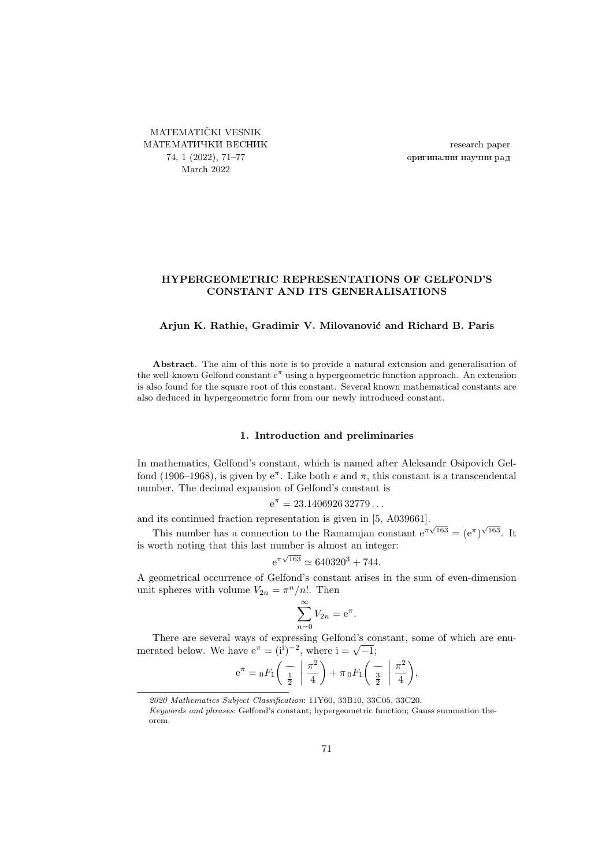<span id="page-0-0"></span>MATEMATIČKI VESNIK МАТЕМАТИЧКИ ВЕСНИК 74, 1 (2022), [71–](#page-0-0)[77](#page-6-0) March 2022

research paper оригинални научни рад

## HYPERGEOMETRIC REPRESENTATIONS OF GELFOND'S CONSTANT AND ITS GENERALISATIONS

### Arjun K. Rathie, Gradimir V. Milovanović and Richard B. Paris

Abstract. The aim of this note is to provide a natural extension and generalisation of the well-known Gelfond constant  $e^{\pi}$  using a hypergeometric function approach. An extension is also found for the square root of this constant. Several known mathematical constants are also deduced in hypergeometric form from our newly introduced constant.

### 1. Introduction and preliminaries

In mathematics, Gelfond's constant, which is named after Aleksandr Osipovich Gelfond (1906–1968), is given by  $e^{\pi}$ . Like both e and  $\pi$ , this constant is a transcendental number. The decimal expansion of Gelfond's constant is

$$
e^{\pi}=23.1406926\,32779\dots
$$

and its continued fraction representation is given in [\[5,](#page-6-1) A039661].

This number has a connection to the Ramanujan constant  $e^{\pi\sqrt{163}} = (e^{\pi})^{\sqrt{163}}$ . It is worth noting that this last number is almost an integer:

$$
e^{\pi\sqrt{163}} \simeq 640320^3 + 744.
$$

A geometrical occurrence of Gelfond's constant arises in the sum of even-dimension unit spheres with volume  $V_{2n} = \pi^n/n!$ . Then

$$
\sum_{n=0}^{\infty} V_{2n} = e^{\pi}.
$$

There are several ways of expressing Gelfond's constant, some of which are enu-There are several ways of expressing Genond's comerated below. We have  $e^{\pi} = (i^{i})^{-2}$ , where  $i = \sqrt{-1}$ ;

$$
e^{\pi} = {}_0F_1\left(\begin{array}{c} -\\ \frac{1}{2} \end{array} \middle| \frac{\pi^2}{4}\right) + \pi {}_0F_1\left(\begin{array}{c} -\\ \frac{3}{2} \end{array} \middle| \frac{\pi^2}{4}\right),
$$

<sup>2020</sup> Mathematics Subject Classification: 11Y60, 33B10, 33C05, 33C20.

Keywords and phrases: Gelfond's constant; hypergeometric function; Gauss summation theorem.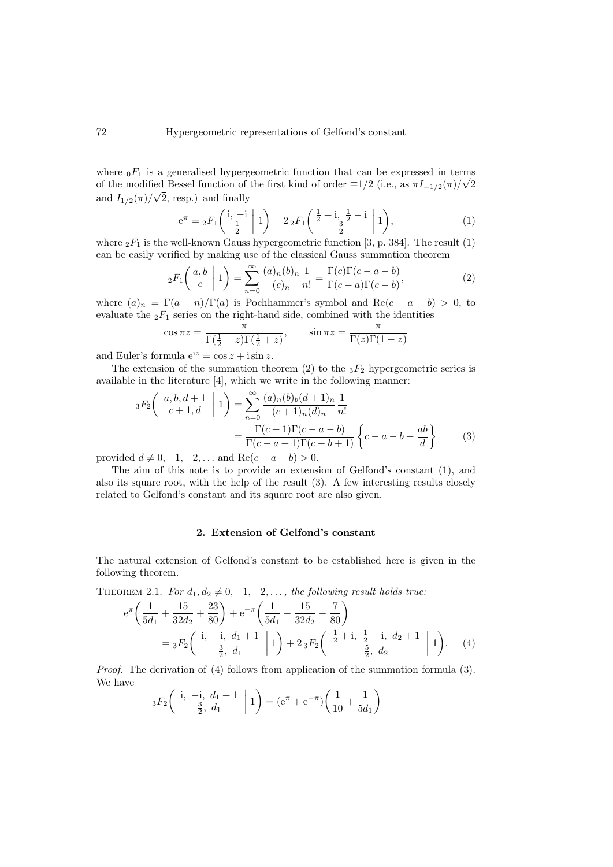where  $_0F_1$  is a generalised hypergeometric function that can be expressed in terms of the modified Bessel function of the first kind of order  $\mp 1/2$  (i.e., as  $\pi I_{-1/2}(\pi)/\sqrt{2}$ and  $I_{1/2}(\pi)/\sqrt{2}$ , resp.) and finally

<span id="page-1-1"></span><span id="page-1-0"></span>
$$
e^{\pi} = {}_{2}F_{1}\left(\begin{array}{c}i, -i \\ \frac{1}{2} \end{array} \middle| 1\right) + 2 {}_{2}F_{1}\left(\begin{array}{c} \frac{1}{2} + i, \frac{1}{2} - i \\ \frac{3}{2} \end{array} \middle| 1\right),\tag{1}
$$

where  $_2F_1$  is the well-known Gauss hypergeometric function [\[3,](#page-6-2) p. 384]. The result [\(1\)](#page-1-0) can be easily verified by making use of the classical Gauss summation theorem

$$
{}_2F_1\left(\begin{array}{c}a,b\\c\end{array}\bigg|1\right) = \sum_{n=0}^{\infty} \frac{(a)_n(b)_n}{(c)_n} \frac{1}{n!} = \frac{\Gamma(c)\Gamma(c-a-b)}{\Gamma(c-a)\Gamma(c-b)},\tag{2}
$$

where  $(a)_n = \Gamma(a+n)/\Gamma(a)$  is Pochhammer's symbol and Re $(c-a-b) > 0$ , to evaluate the  ${}_2F_1$  series on the right-hand side, combined with the identities

$$
\cos \pi z = \frac{\pi}{\Gamma(\frac{1}{2} - z)\Gamma(\frac{1}{2} + z)}, \qquad \sin \pi z = \frac{\pi}{\Gamma(z)\Gamma(1 - z)}
$$

and Euler's formula  $e^{iz} = \cos z + i \sin z$ .

The extension of the summation theorem [\(2\)](#page-1-1) to the  ${}_{3}F_2$  hypergeometric series is available in the literature [\[4\]](#page-6-3), which we write in the following manner:

$$
{}_{3}F_{2}\left(\begin{array}{c} a,b,d+1\\c+1,d \end{array} \middle| 1 \right) = \sum_{n=0}^{\infty} \frac{(a)_{n}(b)_{b}(d+1)_{n}}{(c+1)_{n}(d)_{n}} \frac{1}{n!}
$$

$$
= \frac{\Gamma(c+1)\Gamma(c-a-b)}{\Gamma(c-a+1)\Gamma(c-b+1)} \left\{c-a-b+\frac{ab}{d}\right\} \tag{3}
$$

provided  $d \neq 0, -1, -2, \ldots$  and  $\text{Re}(c - a - b) > 0$ .

The aim of this note is to provide an extension of Gelfond's constant [\(1\)](#page-1-0), and also its square root, with the help of the result  $(3)$ . A few interesting results closely related to Gelfond's constant and its square root are also given.

## <span id="page-1-3"></span><span id="page-1-2"></span>2. Extension of Gelfond's constant

The natural extension of Gelfond's constant to be established here is given in the following theorem.

<span id="page-1-4"></span>THEOREM 2.1. For  $d_1, d_2 \neq 0, -1, -2, \ldots$ , the following result holds true:

$$
e^{\pi} \left( \frac{1}{5d_1} + \frac{15}{32d_2} + \frac{23}{80} \right) + e^{-\pi} \left( \frac{1}{5d_1} - \frac{15}{32d_2} - \frac{7}{80} \right)
$$
  
=  ${}_{3}F_2 \left( \begin{array}{ccc} i, & -i, & d_1 + 1 \\ & \frac{3}{2}, & d_1 \end{array} \middle| 1 \right) + 2 {}_{3}F_2 \left( \begin{array}{ccc} \frac{1}{2} + i, & \frac{1}{2} - i, & d_2 + 1 \\ & \frac{5}{2}, & d_2 \end{array} \middle| 1 \right). \tag{4}$ 

Proof. The derivation of [\(4\)](#page-1-3) follows from application of the summation formula [\(3\)](#page-1-2). We have

$$
{}_{3}F_{2}\left(\begin{array}{cc} \text{i}, & -\text{i}, & d_{1}+1 \\ \frac{3}{2}, & d_{1} \end{array} \middle| 1\right) = (\text{e}^{\pi} + \text{e}^{-\pi})\left(\frac{1}{10} + \frac{1}{5d_{1}}\right)
$$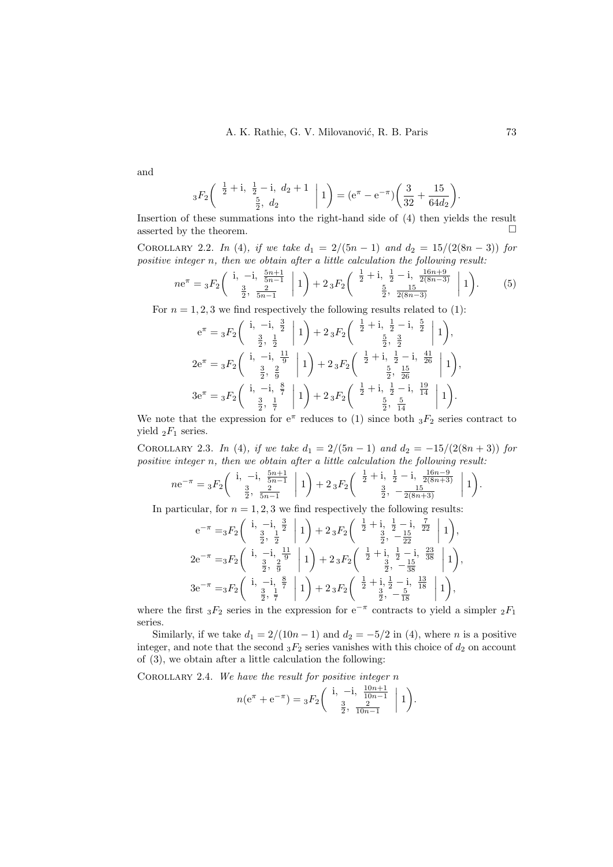and

$$
{}_{3}F_{2}\left(\begin{array}{c} \frac{1}{2}+i, \frac{1}{2}-i, d_{2}+1 \\ \frac{5}{2}, d_{2} \end{array} \bigg| 1\right) = (e^{\pi} - e^{-\pi})\left(\frac{3}{32} + \frac{15}{64d_{2}}\right).
$$

Insertion of these summations into the right-hand side of [\(4\)](#page-1-3) then yields the result asserted by the theorem.  $\Box$ 

COROLLARY 2.2. In [\(4\)](#page-1-3), if we take  $d_1 = 2/(5n - 1)$  and  $d_2 = 15/(2(8n - 3))$  for positive integer n, then we obtain after a little calculation the following result:

$$
ne^{\pi} = {}_3F_2 \left( \begin{array}{c} \mathbf{i}, \ -\mathbf{i}, \ \frac{5n+1}{5n-1} \\ \frac{3}{2}, \ \frac{2}{5n-1} \end{array} \middle| 1 \right) + 2 {}_3F_2 \left( \begin{array}{c} \frac{1}{2} + \mathbf{i}, \ \frac{1}{2} - \mathbf{i}, \ \frac{16n+9}{2(8n-3)} \\ \frac{5}{2}, \ \frac{15}{2(8n-3)} \end{array} \middle| 1 \right). \tag{5}
$$

For  $n = 1, 2, 3$  we find respectively the following results related to [\(1\)](#page-1-0):

$$
e^{\pi} = {}_{3}F_{2}\left(\begin{array}{c}i, -i, \frac{3}{2} \\ \frac{3}{2}, \frac{1}{2} \end{array} \middle| 1\right) + 2 {}_{3}F_{2}\left(\begin{array}{c} \frac{1}{2}+i, \frac{1}{2}-i, \frac{5}{2} \\ \frac{5}{2}, \frac{3}{2} \end{array} \middle| 1\right),
$$
  
\n
$$
2e^{\pi} = {}_{3}F_{2}\left(\begin{array}{c}i, -i, \frac{11}{9} \\ \frac{3}{2}, \frac{2}{9} \end{array} \middle| 1\right) + 2 {}_{3}F_{2}\left(\begin{array}{c} \frac{1}{2}+i, \frac{1}{2}-i, \frac{41}{26} \\ \frac{5}{2}, \frac{15}{26} \end{array} \middle| 1\right),
$$
  
\n
$$
3e^{\pi} = {}_{3}F_{2}\left(\begin{array}{c}i, -i, \frac{8}{7} \\ \frac{3}{2}, \frac{1}{7} \end{array} \middle| 1\right) + 2 {}_{3}F_{2}\left(\begin{array}{c} \frac{1}{2}+i, \frac{1}{2}-i, \frac{19}{14} \\ \frac{5}{2}, \frac{5}{14} \end{array} \middle| 1\right).
$$

We note that the expression for  $e^{\pi}$  reduces to [\(1\)](#page-1-0) since both  ${}_{3}F_{2}$  series contract to yield  $_2F_1$  series.

COROLLARY 2.3. In [\(4\)](#page-1-3), if we take  $d_1 = 2/(5n - 1)$  and  $d_2 = -15/(2(8n + 3))$  for positive integer n, then we obtain after a little calculation the following result:

$$
ne^{-\pi} = {}_{3}F_{2}\left(\begin{array}{c} \mathbf{i}, \ -\mathbf{i}, \ \frac{5n+1}{5n-1} \\ \frac{3}{2}, \ \frac{2}{5n-1} \end{array} \middle| 1 \right) + 2 {}_{3}F_{2}\left(\begin{array}{c} \frac{1}{2} + \mathbf{i}, \ \frac{1}{2} - \mathbf{i}, \ \frac{16n-9}{2(8n+3)} \\ \frac{3}{2}, \ -\frac{15}{2(8n+3)} \end{array} \middle| 1 \right).
$$

In particular, for  $n = 1, 2, 3$  we find respectively the following results:

$$
e^{-\pi} = {}_{3}F_{2}\begin{pmatrix} i & -i & \frac{3}{2} \\ \frac{3}{2} & \frac{1}{2} \end{pmatrix} \begin{pmatrix} 1 \\ 1 \end{pmatrix} + 2 {}_{3}F_{2}\begin{pmatrix} \frac{1}{2} + i & \frac{1}{2} - i & \frac{7}{22} \\ \frac{3}{2} & -\frac{15}{22} \end{pmatrix} \begin{pmatrix} 1 \\ 1 \end{pmatrix},
$$
  
\n
$$
2e^{-\pi} = {}_{3}F_{2}\begin{pmatrix} i & -i & \frac{11}{2} \\ \frac{3}{2} & \frac{2}{9} \end{pmatrix} \begin{pmatrix} 1 \\ 1 \end{pmatrix} + 2 {}_{3}F_{2}\begin{pmatrix} \frac{1}{2} + i & \frac{1}{2} - i & \frac{23}{38} \\ \frac{3}{2} & -\frac{15}{38} \end{pmatrix} \begin{pmatrix} 1 \\ 1 \end{pmatrix},
$$
  
\n
$$
3e^{-\pi} = {}_{3}F_{2}\begin{pmatrix} i & -i & \frac{8}{2} \\ \frac{3}{2} & \frac{1}{7} \end{pmatrix} \begin{pmatrix} 1 \\ 1 \end{pmatrix} + 2 {}_{3}F_{2}\begin{pmatrix} \frac{1}{2} + i & \frac{1}{2} - i & \frac{13}{18} \\ \frac{3}{2} & -\frac{5}{18} \end{pmatrix} \begin{pmatrix} 1 \\ 1 \end{pmatrix},
$$

where the first  ${}_{3}F_2$  series in the expression for e<sup>-π</sup> contracts to yield a simpler  ${}_{2}F_1$ series.

Similarly, if we take  $d_1 = 2/(10n-1)$  and  $d_2 = -5/2$  in [\(4\)](#page-1-3), where n is a positive integer, and note that the second  ${}_3F_2$  series vanishes with this choice of  $d_2$  on account of [\(3\)](#page-1-2), we obtain after a little calculation the following:

COROLLARY 2.4. We have the result for positive integer  $n$ 

$$
n(e^{\pi} + e^{-\pi}) = {}_{3}F_{2}\left(\begin{array}{cc} \mathrm{i}, & -\mathrm{i}, & \frac{10n+1}{10n-1} \\ \frac{3}{2}, & \frac{2}{10n-1} \end{array} \middle| 1 \right).
$$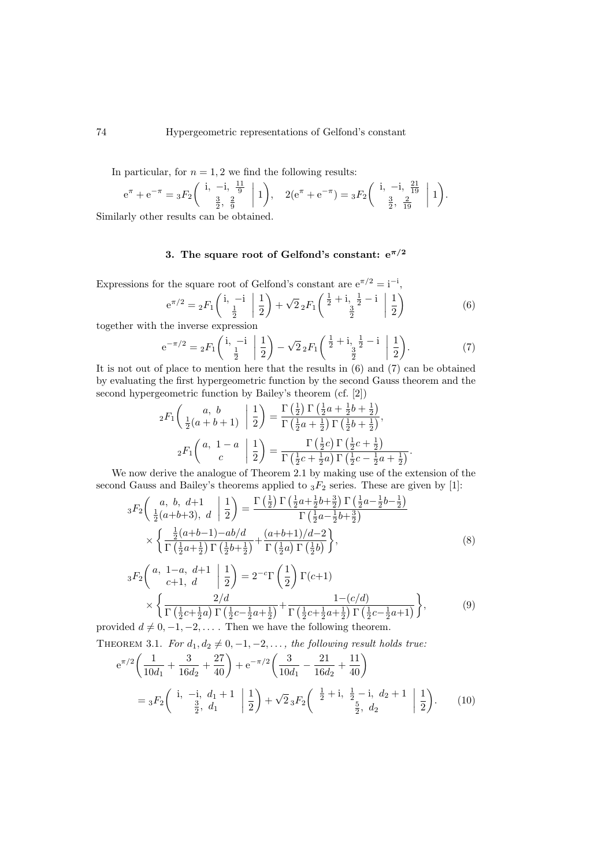In particular, for  $n = 1, 2$  we find the following results:

$$
e^{\pi} + e^{-\pi} = {}_{3}F_{2}\left(\begin{array}{cc} \mathbf{i}, -\mathbf{i}, \frac{11}{9} \\ \frac{3}{2}, \frac{2}{9} \end{array} \middle| 1\right), \quad 2(e^{\pi} + e^{-\pi}) = {}_{3}F_{2}\left(\begin{array}{cc} \mathbf{i}, -\mathbf{i}, \frac{21}{19} \\ \frac{3}{2}, \frac{2}{19} \end{array} \middle| 1\right).
$$

Similarly other results can be obtained.

# 3. The square root of Gelfond's constant:  $e^{\pi/2}$

Expressions for the square root of Gelfond's constant are  $e^{\pi/2} = i^{-i}$ ,

<span id="page-3-1"></span><span id="page-3-0"></span>
$$
e^{\pi/2} = {}_2F_1\left(\begin{array}{c}i, -i \\ \frac{1}{2} \end{array} \middle| \frac{1}{2}\right) + \sqrt{2} {}_2F_1\left(\begin{array}{c} \frac{1}{2} + i, \frac{1}{2} - i \\ \frac{3}{2} \end{array} \middle| \frac{1}{2}\right) \tag{6}
$$

together with the inverse expression

$$
e^{-\pi/2} = {}_{2}F_{1}\left(\begin{array}{cc} i, -i \\ \frac{1}{2} \end{array} \middle| \begin{array}{c} 1 \\ \frac{1}{2} \end{array}\right) - \sqrt{2} {}_{2}F_{1}\left(\begin{array}{cc} \frac{1}{2} + i, \frac{1}{2} - i \\ \frac{3}{2} \end{array} \middle| \begin{array}{c} 1 \\ \frac{1}{2} \end{array}\right). \tag{7}
$$

It is not out of place to mention here that the results in  $(6)$  and  $(7)$  can be obtained by evaluating the first hypergeometric function by the second Gauss theorem and the second hypergeometric function by Bailey's theorem (cf. [\[2\]](#page-5-0))

<span id="page-3-2"></span>
$$
{}_2F_1\left(\begin{array}{c|c} a, & b & \frac{1}{2} \\ \frac{1}{2}(a+b+1) & \frac{1}{2} \end{array}\right) = \frac{\Gamma\left(\frac{1}{2}\right)\Gamma\left(\frac{1}{2}a+\frac{1}{2}b+\frac{1}{2}\right)}{\Gamma\left(\frac{1}{2}a+\frac{1}{2}\right)\Gamma\left(\frac{1}{2}b+\frac{1}{2}\right)},
$$

$$
{}_2F_1\left(\begin{array}{c|c} a, & 1-a & \frac{1}{2} \\ c & & \frac{1}{2} \end{array}\right) = \frac{\Gamma\left(\frac{1}{2}c\right)\Gamma\left(\frac{1}{2}c+\frac{1}{2}\right)}{\Gamma\left(\frac{1}{2}c+\frac{1}{2}a\right)\Gamma\left(\frac{1}{2}c-\frac{1}{2}a+\frac{1}{2}\right)}.
$$

We now derive the analogue of Theorem [2.1](#page-1-4) by making use of the extension of the second Gauss and Bailey's theorems applied to  $_3F_2$  series. These are given by [\[1\]](#page-5-1):

$$
{}_{3}F_{2}\left(\begin{array}{c}a, b, d+1\\ \frac{1}{2}(a+b+3), d\end{array}\Big|\frac{1}{2}\right) = \frac{\Gamma\left(\frac{1}{2}\right)\Gamma\left(\frac{1}{2}a+\frac{1}{2}b+\frac{3}{2}\right)\Gamma\left(\frac{1}{2}a-\frac{1}{2}b-\frac{1}{2}\right)}{\Gamma\left(\frac{1}{2}a-\frac{1}{2}b+\frac{3}{2}\right)} \times \left\{\frac{\frac{1}{2}(a+b-1)-ab/d}{\Gamma\left(\frac{1}{2}a+\frac{1}{2}\right)\Gamma\left(\frac{1}{2}b+\frac{1}{2}\right)} + \frac{(a+b+1)/d-2}{\Gamma\left(\frac{1}{2}a\right)\Gamma\left(\frac{1}{2}b\right)}\right\},\tag{8}
$$

<span id="page-3-3"></span>
$$
{}_{3}F_{2}\left(\begin{array}{cc} a, & 1-a, & d+1 \\ c+1, & d \end{array} \middle| \frac{1}{2}\right) = 2^{-c}\Gamma\left(\frac{1}{2}\right)\Gamma(c+1) \times \left\{\frac{2/d}{\Gamma\left(\frac{1}{2}c+\frac{1}{2}a\right)\Gamma\left(\frac{1}{2}c-\frac{1}{2}a+\frac{1}{2}\right)} + \frac{1-(c/d)}{\Gamma\left(\frac{1}{2}c+\frac{1}{2}a+\frac{1}{2}\right)\Gamma\left(\frac{1}{2}c-\frac{1}{2}a+1\right)}\right\},\tag{9}
$$

provided  $d \neq 0, -1, -2, \ldots$ . Then we have the following theorem. THEOREM 3.1. For  $d_1, d_2 \neq 0, -1, -2, \ldots$ , the following result holds true:

<span id="page-3-4"></span>
$$
e^{\pi/2} \left( \frac{1}{10d_1} + \frac{3}{16d_2} + \frac{27}{40} \right) + e^{-\pi/2} \left( \frac{3}{10d_1} - \frac{21}{16d_2} + \frac{11}{40} \right)
$$
  
=  ${}_{3}F_2 \left( \begin{array}{cc} i, & -i, d_1 + 1 \\ \frac{3}{2}, & d_1 \end{array} \middle| \frac{1}{2} \right) + \sqrt{2} {}_{3}F_2 \left( \begin{array}{cc} \frac{1}{2} + i, & \frac{1}{2} - i, d_2 + 1 \\ \frac{5}{2}, & d_2 \end{array} \middle| \frac{1}{2} \right).$  (10)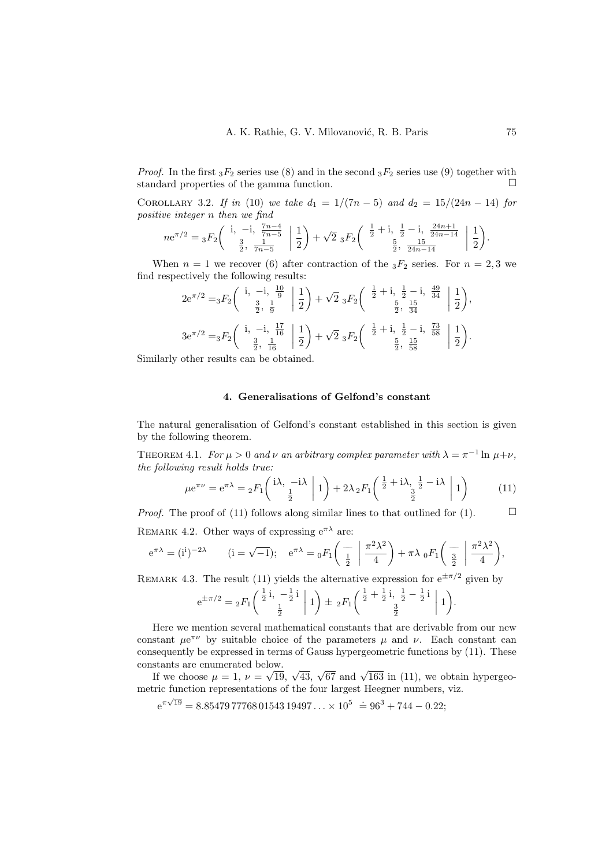*Proof.* In the first  ${}_3F_2$  series use [\(8\)](#page-3-2) and in the second  ${}_3F_2$  series use [\(9\)](#page-3-3) together with standard properties of the gamma function.  $\Box$ 

COROLLARY 3.2. If in [\(10\)](#page-3-4) we take  $d_1 = 1/(7n-5)$  and  $d_2 = 15/(24n-14)$  for positive integer n then we find

$$
ne^{\pi/2} = {}_3F_2 \left( \begin{array}{c} \mathbf{i}, \ -\mathbf{i}, \ \frac{7n-4}{7n-5} \\ \frac{3}{2}, \ \frac{1}{7n-5} \end{array} \left| \frac{1}{2} \right) + \sqrt{2} {}_3F_2 \left( \begin{array}{c} \frac{1}{2} + \mathbf{i}, \ \frac{1}{2} - \mathbf{i}, \ \frac{24n+1}{24n-14} \\ \frac{5}{2}, \ \frac{15}{24n-14} \end{array} \left| \frac{1}{2} \right) \right).
$$

When  $n = 1$  we recover [\(6\)](#page-3-0) after contraction of the  ${}_3F_2$  series. For  $n = 2, 3$  we find respectively the following results:

$$
2e^{\pi/2} = {}_3F_2 \left( \begin{array}{ccc} \mathrm{i}, & -\mathrm{i}, & \frac{10}{9} \\ \frac{3}{2}, & \frac{1}{9} \end{array} \middle| \begin{array}{c} \frac{1}{2} \end{array} \right) + \sqrt{2} {}_3F_2 \left( \begin{array}{ccc} \frac{1}{2} + \mathrm{i}, & \frac{1}{2} - \mathrm{i}, & \frac{49}{34} \\ \frac{5}{2}, & \frac{15}{34} \end{array} \middle| \begin{array}{c} \frac{1}{2} \end{array} \right),
$$
\n
$$
3e^{\pi/2} = {}_3F_2 \left( \begin{array}{ccc} \mathrm{i}, & -\mathrm{i}, & \frac{17}{16} \\ \frac{3}{2}, & \frac{1}{16} \end{array} \middle| \begin{array}{c} \frac{1}{2} \end{array} \right) + \sqrt{2} {}_3F_2 \left( \begin{array}{ccc} \frac{1}{2} + \mathrm{i}, & \frac{1}{2} - \mathrm{i}, & \frac{73}{58} \\ \frac{5}{2}, & \frac{15}{58} \end{array} \middle| \begin{array}{c} \frac{1}{2} \end{array} \right).
$$

Similarly other results can be obtained.

## <span id="page-4-0"></span>4. Generalisations of Gelfond's constant

The natural generalisation of Gelfond's constant established in this section is given by the following theorem.

THEOREM 4.1. For  $\mu > 0$  and  $\nu$  an arbitrary complex parameter with  $\lambda = \pi^{-1} \ln \mu + \nu$ , the following result holds true:

$$
\mu e^{\pi \nu} = e^{\pi \lambda} = {}_2F_1 \left( \frac{i\lambda}{\frac{1}{2}} - \frac{-i\lambda}{\frac{1}{2}} \right) + 2\lambda {}_2F_1 \left( \frac{1}{2} + i\lambda, \frac{1}{2} - i\lambda \right) \tag{11}
$$

*Proof.* The proof of [\(11\)](#page-4-0) follows along similar lines to that outlined for [\(1\)](#page-1-0).  $\Box$ 

REMARK 4.2. Other ways of expressing  $e^{\pi \lambda}$  are:

$$
e^{\pi\lambda} = (i^i)^{-2\lambda}
$$
  $(i = \sqrt{-1});$   $e^{\pi\lambda} = {}_0F_1\left(\begin{array}{c|c} - \\ \frac{1}{2} \end{array} \middle| \frac{\pi^2\lambda^2}{4}\right) + \pi\lambda {}_0F_1\left(\begin{array}{c|c} - \\ \frac{3}{2} \end{array} \middle| \frac{\pi^2\lambda^2}{4}\right),$ 

REMARK 4.3. The result [\(11\)](#page-4-0) yields the alternative expression for  $e^{\pm \pi/2}$  given by

$$
e^{\pm \pi/2} = {}_{2}F_{1}\left(\begin{array}{c} \frac{1}{2} \mathbf{i}, -\frac{1}{2} \mathbf{i} \\ \frac{1}{2} \end{array} \middle| 1 \right) \pm {}_{2}F_{1}\left(\begin{array}{c} \frac{1}{2} + \frac{1}{2} \mathbf{i}, \frac{1}{2} - \frac{1}{2} \mathbf{i} \\ \frac{3}{2} \end{array} \middle| 1 \right).
$$

Here we mention several mathematical constants that are derivable from our new constant  $\mu e^{\pi \nu}$  by suitable choice of the parameters  $\mu$  and  $\nu$ . Each constant can consequently be expressed in terms of Gauss hypergeometric functions by [\(11\)](#page-4-0). These constants are enumerated below. √

stants are enumerated below.<br>If we choose  $\mu = 1$ ,  $\nu = \sqrt{19}$ ,  $\sqrt{43}$ ,  $\sqrt{67}$  and  $\sqrt{163}$  in [\(11\)](#page-4-0), we obtain hypergeometric function representations of the four largest Heegner numbers, viz.

 $e^{\pi\sqrt{19}} = 8.85479777680154319497... \times 10^5 = 96^3 + 744 - 0.22;$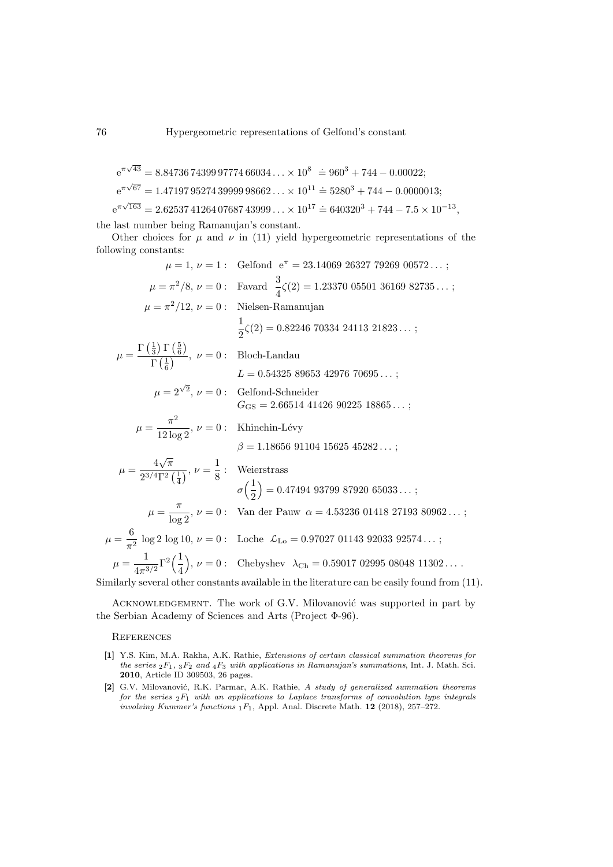$$
e^{\pi\sqrt{43}} = 8.84736743999777466034...
$$
  $\times 10^8 \doteq 960^3 + 744 - 0.00022;$   
\n $e^{\pi\sqrt{67}} = 1.47197952743999998662...$   $\times 10^{11} \doteq 5280^3 + 744 - 0.0000013;$   
\n $e^{\pi\sqrt{163}} = 2.62537412640768743999...$   $\times 10^{17} \doteq 640320^3 + 744 - 7.5 \times 10^{-13}$ 

,

the last number being Ramanujan's constant.

Other choices for  $\mu$  and  $\nu$  in [\(11\)](#page-4-0) yield hypergeometric representations of the following constants:

$$
\mu = 1, \nu = 1: \text{ Gelfond } e^{\pi} = 23.14069 \ 26327 \ 79269 \ 00572...;
$$
\n
$$
\mu = \pi^2/8, \nu = 0: \text{ Favad } \frac{3}{4} \zeta(2) = 1.23370 \ 05501 \ 36169 \ 82735...;
$$
\n
$$
\mu = \pi^2/12, \nu = 0: \text{ Nielsen-Ramanujan}
$$
\n
$$
\frac{1}{2} \zeta(2) = 0.82246 \ 70334 \ 24113 \ 21823...;
$$
\n
$$
\mu = \frac{\Gamma(\frac{1}{3}) \Gamma(\frac{5}{6})}{\Gamma(\frac{1}{6})}, \nu = 0: \text{ Bloch-Landau}
$$
\n
$$
L = 0.54325 \ 89653 \ 42976 \ 70695...;
$$
\n
$$
\mu = 2^{\sqrt{2}}, \nu = 0: \text{ Gelfond-Schneider}
$$
\n
$$
G_{\text{GS}} = 2.66514 \ 41426 \ 90225 \ 18865...;
$$
\n
$$
\mu = \frac{\pi^2}{12 \log 2}, \nu = 0: \text{ Khinchin-Lévy}
$$
\n
$$
\beta = 1.18656 \ 91104 \ 15625 \ 45282...;
$$
\n
$$
\mu = \frac{4\sqrt{\pi}}{2^{3/4}\Gamma^2(\frac{1}{4})}, \nu = \frac{1}{8}: \text{ Weierstrass}
$$
\n
$$
\sigma(\frac{1}{2}) = 0.47494 \ 93799 \ 87920 \ 65033...;
$$
\n
$$
\mu = \frac{6}{\pi^2} \log 2 \log 10, \nu = 0: \text{Uoch } \mathcal{L}_{\text{Lo}} = 0.97027 \ 01143 \ 92033 \ 92574...;
$$
\n
$$
\mu = \frac{4}{4\pi^{3/2}} \Gamma^2(\frac{1}{4}), \nu = 0: \text{ Chebyshev } \lambda_{\text{Ch}} = 0.59017 \ 02995 \ 08048 \ 113
$$

Similarly several other constants available in the literature can be easily found from [\(11\)](#page-4-0).

ACKNOWLEDGEMENT. The work of G.V. Milovanović was supported in part by the Serbian Academy of Sciences and Arts (Project Φ-96).

### **REFERENCES**

- <span id="page-5-1"></span>[1] Y.S. Kim, M.A. Rakha, A.K. Rathie, Extensions of certain classical summation theorems for the series  ${}_2F_1$ ,  ${}_3F_2$  and  ${}_4F_3$  with applications in Ramanujan's summations, Int. J. Math. Sci. 2010, Article ID 309503, 26 pages.
- <span id="page-5-0"></span>[2] G.V. Milovanović, R.K. Parmar, A.K. Rathie, A study of generalized summation theorems for the series  ${}_2F_1$  with an applications to Laplace transforms of convolution type integrals involving Kummer's functions  $_1F_1$ , Appl. Anal. Discrete Math. 12 (2018), 257–272.